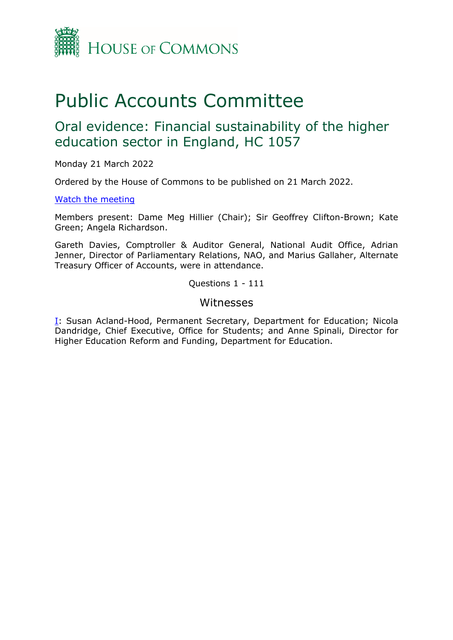

# Public Accounts Committee

## Oral evidence: Financial sustainability of the higher education sector in England, HC 1057

Monday 21 March 2022

Ordered by the House of Commons to be published on 21 March 2022.

## [Watch the meeting](https://parliamentlive.tv/Event/Index/275ee750-70ec-48ed-bc13-d4a3c55daf59)

Members present: Dame Meg Hillier (Chair); Sir Geoffrey Clifton-Brown; Kate Green; Angela Richardson.

Gareth Davies, Comptroller & Auditor General, National Audit Office, Adrian Jenner, Director of Parliamentary Relations, NAO, and Marius Gallaher, Alternate Treasury Officer of Accounts, were in attendance.

Questions 1 - 111

## Witnesses

[I:](#page-1-0) Susan Acland-Hood, Permanent Secretary, Department for Education; Nicola Dandridge, Chief Executive, Office for Students; and Anne Spinali, Director for Higher Education Reform and Funding, Department for Education.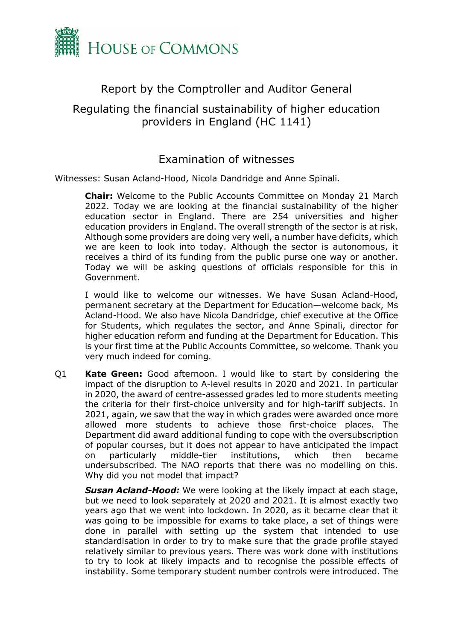

## Report by the Comptroller and Auditor General

## Regulating the financial sustainability of higher education providers in England (HC 1141)

## <span id="page-1-0"></span>Examination of witnesses

Witnesses: Susan Acland-Hood, Nicola Dandridge and Anne Spinali.

**Chair:** Welcome to the Public Accounts Committee on Monday 21 March 2022. Today we are looking at the financial sustainability of the higher education sector in England. There are 254 universities and higher education providers in England. The overall strength of the sector is at risk. Although some providers are doing very well, a number have deficits, which we are keen to look into today. Although the sector is autonomous, it receives a third of its funding from the public purse one way or another. Today we will be asking questions of officials responsible for this in Government.

I would like to welcome our witnesses. We have Susan Acland-Hood, permanent secretary at the Department for Education—welcome back, Ms Acland-Hood. We also have Nicola Dandridge, chief executive at the Office for Students, which regulates the sector, and Anne Spinali, director for higher education reform and funding at the Department for Education. This is your first time at the Public Accounts Committee, so welcome. Thank you very much indeed for coming.

Q1 **Kate Green:** Good afternoon. I would like to start by considering the impact of the disruption to A-level results in 2020 and 2021. In particular in 2020, the award of centre-assessed grades led to more students meeting the criteria for their first-choice university and for high-tariff subjects. In 2021, again, we saw that the way in which grades were awarded once more allowed more students to achieve those first-choice places. The Department did award additional funding to cope with the oversubscription of popular courses, but it does not appear to have anticipated the impact on particularly middle-tier institutions, which then became undersubscribed. The NAO reports that there was no modelling on this. Why did you not model that impact?

*Susan Acland-Hood:* We were looking at the likely impact at each stage, but we need to look separately at 2020 and 2021. It is almost exactly two years ago that we went into lockdown. In 2020, as it became clear that it was going to be impossible for exams to take place, a set of things were done in parallel with setting up the system that intended to use standardisation in order to try to make sure that the grade profile stayed relatively similar to previous years. There was work done with institutions to try to look at likely impacts and to recognise the possible effects of instability. Some temporary student number controls were introduced. The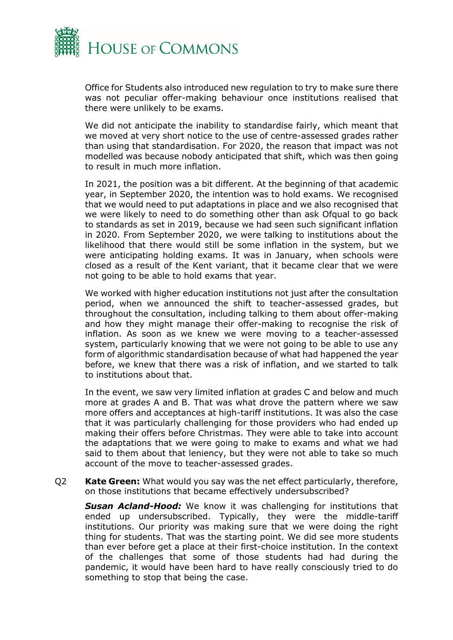

Office for Students also introduced new regulation to try to make sure there was not peculiar offer-making behaviour once institutions realised that there were unlikely to be exams.

We did not anticipate the inability to standardise fairly, which meant that we moved at very short notice to the use of centre-assessed grades rather than using that standardisation. For 2020, the reason that impact was not modelled was because nobody anticipated that shift, which was then going to result in much more inflation.

In 2021, the position was a bit different. At the beginning of that academic year, in September 2020, the intention was to hold exams. We recognised that we would need to put adaptations in place and we also recognised that we were likely to need to do something other than ask Ofqual to go back to standards as set in 2019, because we had seen such significant inflation in 2020. From September 2020, we were talking to institutions about the likelihood that there would still be some inflation in the system, but we were anticipating holding exams. It was in January, when schools were closed as a result of the Kent variant, that it became clear that we were not going to be able to hold exams that year.

We worked with higher education institutions not just after the consultation period, when we announced the shift to teacher-assessed grades, but throughout the consultation, including talking to them about offer-making and how they might manage their offer-making to recognise the risk of inflation. As soon as we knew we were moving to a teacher-assessed system, particularly knowing that we were not going to be able to use any form of algorithmic standardisation because of what had happened the year before, we knew that there was a risk of inflation, and we started to talk to institutions about that.

In the event, we saw very limited inflation at grades C and below and much more at grades A and B. That was what drove the pattern where we saw more offers and acceptances at high-tariff institutions. It was also the case that it was particularly challenging for those providers who had ended up making their offers before Christmas. They were able to take into account the adaptations that we were going to make to exams and what we had said to them about that leniency, but they were not able to take so much account of the move to teacher-assessed grades.

Q2 **Kate Green:** What would you say was the net effect particularly, therefore, on those institutions that became effectively undersubscribed?

*Susan Acland-Hood:* We know it was challenging for institutions that ended up undersubscribed. Typically, they were the middle-tariff institutions. Our priority was making sure that we were doing the right thing for students. That was the starting point. We did see more students than ever before get a place at their first-choice institution. In the context of the challenges that some of those students had had during the pandemic, it would have been hard to have really consciously tried to do something to stop that being the case.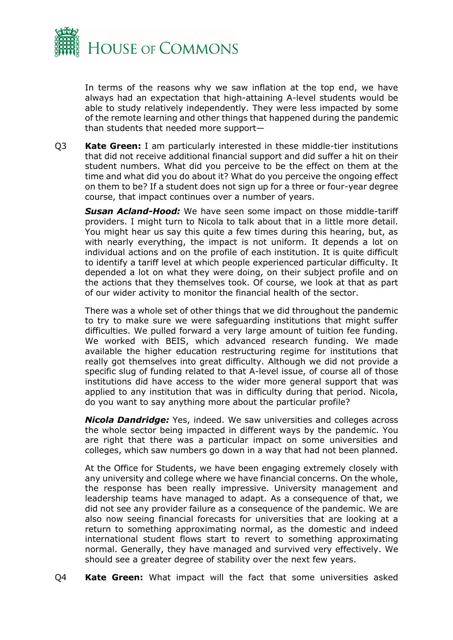

In terms of the reasons why we saw inflation at the top end, we have always had an expectation that high-attaining A-level students would be able to study relatively independently. They were less impacted by some of the remote learning and other things that happened during the pandemic than students that needed more support—

Q3 **Kate Green:** I am particularly interested in these middle-tier institutions that did not receive additional financial support and did suffer a hit on their student numbers. What did you perceive to be the effect on them at the time and what did you do about it? What do you perceive the ongoing effect on them to be? If a student does not sign up for a three or four-year degree course, that impact continues over a number of years.

*Susan Acland-Hood:* We have seen some impact on those middle-tariff providers. I might turn to Nicola to talk about that in a little more detail. You might hear us say this quite a few times during this hearing, but, as with nearly everything, the impact is not uniform. It depends a lot on individual actions and on the profile of each institution. It is quite difficult to identify a tariff level at which people experienced particular difficulty. It depended a lot on what they were doing, on their subject profile and on the actions that they themselves took. Of course, we look at that as part of our wider activity to monitor the financial health of the sector.

There was a whole set of other things that we did throughout the pandemic to try to make sure we were safeguarding institutions that might suffer difficulties. We pulled forward a very large amount of tuition fee funding. We worked with BEIS, which advanced research funding. We made available the higher education restructuring regime for institutions that really got themselves into great difficulty. Although we did not provide a specific slug of funding related to that A-level issue, of course all of those institutions did have access to the wider more general support that was applied to any institution that was in difficulty during that period. Nicola, do you want to say anything more about the particular profile?

*Nicola Dandridge:* Yes, indeed. We saw universities and colleges across the whole sector being impacted in different ways by the pandemic. You are right that there was a particular impact on some universities and colleges, which saw numbers go down in a way that had not been planned.

At the Office for Students, we have been engaging extremely closely with any university and college where we have financial concerns. On the whole, the response has been really impressive. University management and leadership teams have managed to adapt. As a consequence of that, we did not see any provider failure as a consequence of the pandemic. We are also now seeing financial forecasts for universities that are looking at a return to something approximating normal, as the domestic and indeed international student flows start to revert to something approximating normal. Generally, they have managed and survived very effectively. We should see a greater degree of stability over the next few years.

Q4 **Kate Green:** What impact will the fact that some universities asked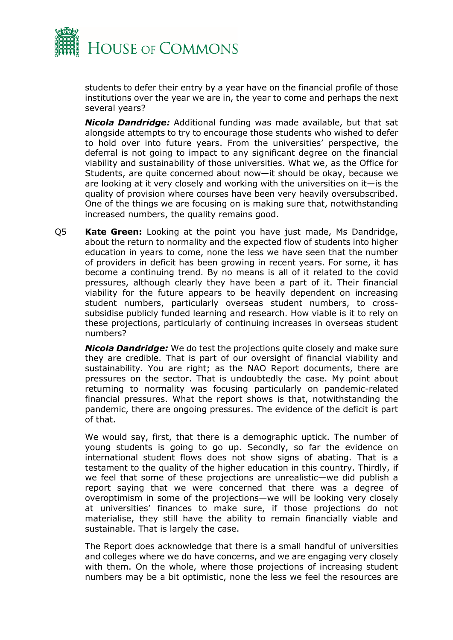

students to defer their entry by a year have on the financial profile of those institutions over the year we are in, the year to come and perhaps the next several years?

*Nicola Dandridge:* Additional funding was made available, but that sat alongside attempts to try to encourage those students who wished to defer to hold over into future years. From the universities' perspective, the deferral is not going to impact to any significant degree on the financial viability and sustainability of those universities. What we, as the Office for Students, are quite concerned about now—it should be okay, because we are looking at it very closely and working with the universities on it—is the quality of provision where courses have been very heavily oversubscribed. One of the things we are focusing on is making sure that, notwithstanding increased numbers, the quality remains good.

Q5 **Kate Green:** Looking at the point you have just made, Ms Dandridge, about the return to normality and the expected flow of students into higher education in years to come, none the less we have seen that the number of providers in deficit has been growing in recent years. For some, it has become a continuing trend. By no means is all of it related to the covid pressures, although clearly they have been a part of it. Their financial viability for the future appears to be heavily dependent on increasing student numbers, particularly overseas student numbers, to crosssubsidise publicly funded learning and research. How viable is it to rely on these projections, particularly of continuing increases in overseas student numbers?

*Nicola Dandridge:* We do test the projections quite closely and make sure they are credible. That is part of our oversight of financial viability and sustainability. You are right; as the NAO Report documents, there are pressures on the sector. That is undoubtedly the case. My point about returning to normality was focusing particularly on pandemic-related financial pressures. What the report shows is that, notwithstanding the pandemic, there are ongoing pressures. The evidence of the deficit is part of that.

We would say, first, that there is a demographic uptick. The number of young students is going to go up. Secondly, so far the evidence on international student flows does not show signs of abating. That is a testament to the quality of the higher education in this country. Thirdly, if we feel that some of these projections are unrealistic—we did publish a report saying that we were concerned that there was a degree of overoptimism in some of the projections—we will be looking very closely at universities' finances to make sure, if those projections do not materialise, they still have the ability to remain financially viable and sustainable. That is largely the case.

The Report does acknowledge that there is a small handful of universities and colleges where we do have concerns, and we are engaging very closely with them. On the whole, where those projections of increasing student numbers may be a bit optimistic, none the less we feel the resources are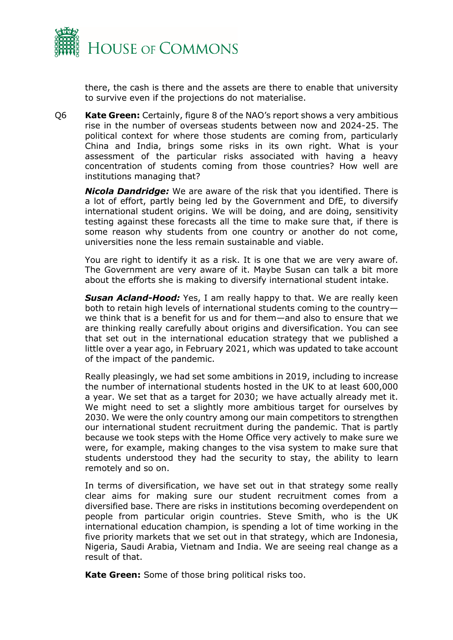

there, the cash is there and the assets are there to enable that university to survive even if the projections do not materialise.

Q6 **Kate Green:** Certainly, figure 8 of the NAO's report shows a very ambitious rise in the number of overseas students between now and 2024-25. The political context for where those students are coming from, particularly China and India, brings some risks in its own right. What is your assessment of the particular risks associated with having a heavy concentration of students coming from those countries? How well are institutions managing that?

*Nicola Dandridge:* We are aware of the risk that you identified. There is a lot of effort, partly being led by the Government and DfE, to diversify international student origins. We will be doing, and are doing, sensitivity testing against these forecasts all the time to make sure that, if there is some reason why students from one country or another do not come, universities none the less remain sustainable and viable.

You are right to identify it as a risk. It is one that we are very aware of. The Government are very aware of it. Maybe Susan can talk a bit more about the efforts she is making to diversify international student intake.

*Susan Acland-Hood:* Yes, I am really happy to that. We are really keen both to retain high levels of international students coming to the country we think that is a benefit for us and for them—and also to ensure that we are thinking really carefully about origins and diversification. You can see that set out in the international education strategy that we published a little over a year ago, in February 2021, which was updated to take account of the impact of the pandemic.

Really pleasingly, we had set some ambitions in 2019, including to increase the number of international students hosted in the UK to at least 600,000 a year. We set that as a target for 2030; we have actually already met it. We might need to set a slightly more ambitious target for ourselves by 2030. We were the only country among our main competitors to strengthen our international student recruitment during the pandemic. That is partly because we took steps with the Home Office very actively to make sure we were, for example, making changes to the visa system to make sure that students understood they had the security to stay, the ability to learn remotely and so on.

In terms of diversification, we have set out in that strategy some really clear aims for making sure our student recruitment comes from a diversified base. There are risks in institutions becoming overdependent on people from particular origin countries. Steve Smith, who is the UK international education champion, is spending a lot of time working in the five priority markets that we set out in that strategy, which are Indonesia, Nigeria, Saudi Arabia, Vietnam and India. We are seeing real change as a result of that.

**Kate Green:** Some of those bring political risks too.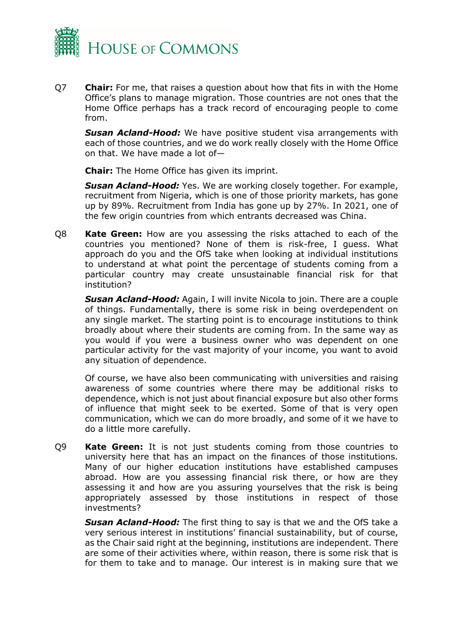

Q7 **Chair:** For me, that raises a question about how that fits in with the Home Office's plans to manage migration. Those countries are not ones that the Home Office perhaps has a track record of encouraging people to come from.

**Susan Acland-Hood:** We have positive student visa arrangements with each of those countries, and we do work really closely with the Home Office on that. We have made a lot of—

**Chair:** The Home Office has given its imprint.

*Susan Acland-Hood:* Yes. We are working closely together. For example, recruitment from Nigeria, which is one of those priority markets, has gone up by 89%. Recruitment from India has gone up by 27%. In 2021, one of the few origin countries from which entrants decreased was China.

Q8 **Kate Green:** How are you assessing the risks attached to each of the countries you mentioned? None of them is risk-free, I guess. What approach do you and the OfS take when looking at individual institutions to understand at what point the percentage of students coming from a particular country may create unsustainable financial risk for that institution?

*Susan Acland-Hood:* Again, I will invite Nicola to join. There are a couple of things. Fundamentally, there is some risk in being overdependent on any single market. The starting point is to encourage institutions to think broadly about where their students are coming from. In the same way as you would if you were a business owner who was dependent on one particular activity for the vast majority of your income, you want to avoid any situation of dependence.

Of course, we have also been communicating with universities and raising awareness of some countries where there may be additional risks to dependence, which is not just about financial exposure but also other forms of influence that might seek to be exerted. Some of that is very open communication, which we can do more broadly, and some of it we have to do a little more carefully.

Q9 **Kate Green:** It is not just students coming from those countries to university here that has an impact on the finances of those institutions. Many of our higher education institutions have established campuses abroad. How are you assessing financial risk there, or how are they assessing it and how are you assuring yourselves that the risk is being appropriately assessed by those institutions in respect of those investments?

*Susan Acland-Hood:* The first thing to say is that we and the OfS take a very serious interest in institutions' financial sustainability, but of course, as the Chair said right at the beginning, institutions are independent. There are some of their activities where, within reason, there is some risk that is for them to take and to manage. Our interest is in making sure that we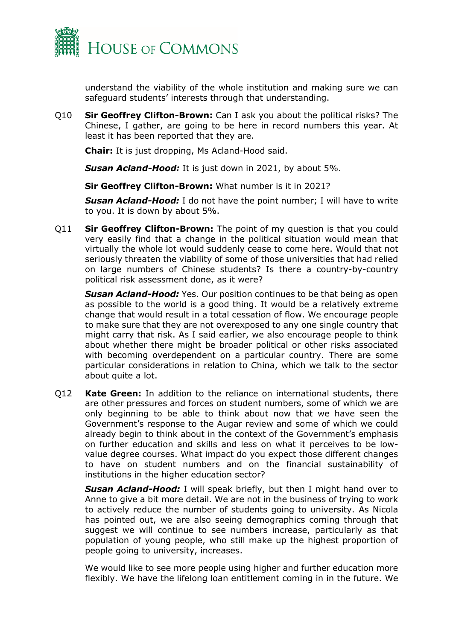

understand the viability of the whole institution and making sure we can safeguard students' interests through that understanding.

Q10 **Sir Geoffrey Clifton-Brown:** Can I ask you about the political risks? The Chinese, I gather, are going to be here in record numbers this year. At least it has been reported that they are.

**Chair:** It is just dropping, Ms Acland-Hood said.

*Susan Acland-Hood:* It is just down in 2021, by about 5%.

**Sir Geoffrey Clifton-Brown:** What number is it in 2021?

*Susan Acland-Hood:* I do not have the point number; I will have to write to you. It is down by about 5%.

Q11 **Sir Geoffrey Clifton-Brown:** The point of my question is that you could very easily find that a change in the political situation would mean that virtually the whole lot would suddenly cease to come here. Would that not seriously threaten the viability of some of those universities that had relied on large numbers of Chinese students? Is there a country-by-country political risk assessment done, as it were?

*Susan Acland-Hood:* Yes. Our position continues to be that being as open as possible to the world is a good thing. It would be a relatively extreme change that would result in a total cessation of flow. We encourage people to make sure that they are not overexposed to any one single country that might carry that risk. As I said earlier, we also encourage people to think about whether there might be broader political or other risks associated with becoming overdependent on a particular country. There are some particular considerations in relation to China, which we talk to the sector about quite a lot.

Q12 **Kate Green:** In addition to the reliance on international students, there are other pressures and forces on student numbers, some of which we are only beginning to be able to think about now that we have seen the Government's response to the Augar review and some of which we could already begin to think about in the context of the Government's emphasis on further education and skills and less on what it perceives to be lowvalue degree courses. What impact do you expect those different changes to have on student numbers and on the financial sustainability of institutions in the higher education sector?

*Susan Acland-Hood:* I will speak briefly, but then I might hand over to Anne to give a bit more detail. We are not in the business of trying to work to actively reduce the number of students going to university. As Nicola has pointed out, we are also seeing demographics coming through that suggest we will continue to see numbers increase, particularly as that population of young people, who still make up the highest proportion of people going to university, increases.

We would like to see more people using higher and further education more flexibly. We have the lifelong loan entitlement coming in in the future. We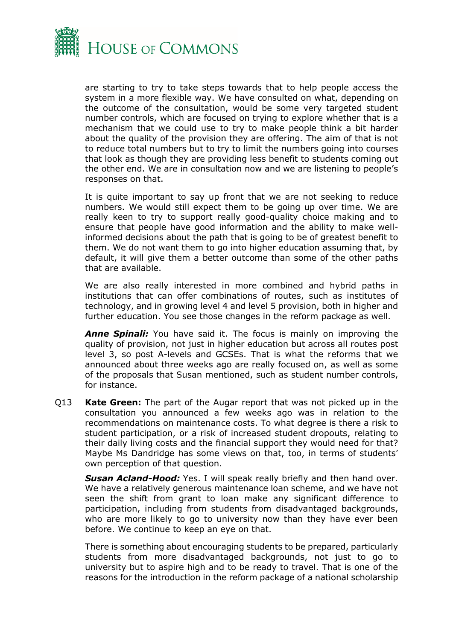

are starting to try to take steps towards that to help people access the system in a more flexible way. We have consulted on what, depending on the outcome of the consultation, would be some very targeted student number controls, which are focused on trying to explore whether that is a mechanism that we could use to try to make people think a bit harder about the quality of the provision they are offering. The aim of that is not to reduce total numbers but to try to limit the numbers going into courses that look as though they are providing less benefit to students coming out the other end. We are in consultation now and we are listening to people's responses on that.

It is quite important to say up front that we are not seeking to reduce numbers. We would still expect them to be going up over time. We are really keen to try to support really good-quality choice making and to ensure that people have good information and the ability to make wellinformed decisions about the path that is going to be of greatest benefit to them. We do not want them to go into higher education assuming that, by default, it will give them a better outcome than some of the other paths that are available.

We are also really interested in more combined and hybrid paths in institutions that can offer combinations of routes, such as institutes of technology, and in growing level 4 and level 5 provision, both in higher and further education. You see those changes in the reform package as well.

*Anne Spinali:* You have said it. The focus is mainly on improving the quality of provision, not just in higher education but across all routes post level 3, so post A-levels and GCSEs. That is what the reforms that we announced about three weeks ago are really focused on, as well as some of the proposals that Susan mentioned, such as student number controls, for instance.

Q13 **Kate Green:** The part of the Augar report that was not picked up in the consultation you announced a few weeks ago was in relation to the recommendations on maintenance costs. To what degree is there a risk to student participation, or a risk of increased student dropouts, relating to their daily living costs and the financial support they would need for that? Maybe Ms Dandridge has some views on that, too, in terms of students' own perception of that question.

**Susan Acland-Hood:** Yes. I will speak really briefly and then hand over. We have a relatively generous maintenance loan scheme, and we have not seen the shift from grant to loan make any significant difference to participation, including from students from disadvantaged backgrounds, who are more likely to go to university now than they have ever been before. We continue to keep an eye on that.

There is something about encouraging students to be prepared, particularly students from more disadvantaged backgrounds, not just to go to university but to aspire high and to be ready to travel. That is one of the reasons for the introduction in the reform package of a national scholarship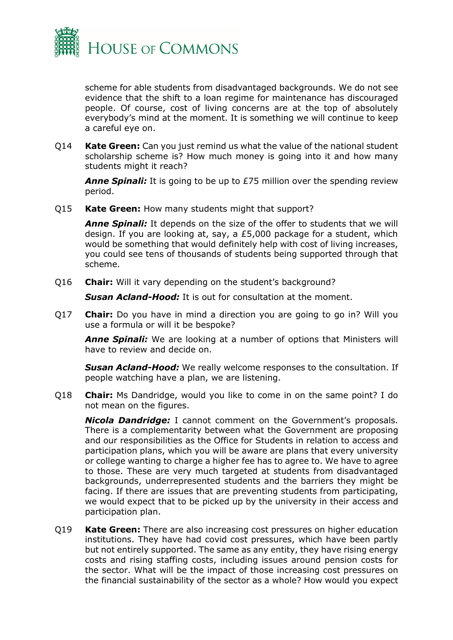

scheme for able students from disadvantaged backgrounds. We do not see evidence that the shift to a loan regime for maintenance has discouraged people. Of course, cost of living concerns are at the top of absolutely everybody's mind at the moment. It is something we will continue to keep a careful eye on.

Q14 **Kate Green:** Can you just remind us what the value of the national student scholarship scheme is? How much money is going into it and how many students might it reach?

**Anne Spinali:** It is going to be up to £75 million over the spending review period.

Q15 **Kate Green:** How many students might that support?

*Anne Spinali:* It depends on the size of the offer to students that we will design. If you are looking at, say, a £5,000 package for a student, which would be something that would definitely help with cost of living increases, you could see tens of thousands of students being supported through that scheme.

Q16 **Chair:** Will it vary depending on the student's background?

*Susan Acland-Hood:* It is out for consultation at the moment.

Q17 **Chair:** Do you have in mind a direction you are going to go in? Will you use a formula or will it be bespoke?

*Anne Spinali:* We are looking at a number of options that Ministers will have to review and decide on.

*Susan Acland-Hood:* We really welcome responses to the consultation. If people watching have a plan, we are listening.

Q18 **Chair:** Ms Dandridge, would you like to come in on the same point? I do not mean on the figures.

*Nicola Dandridge:* I cannot comment on the Government's proposals. There is a complementarity between what the Government are proposing and our responsibilities as the Office for Students in relation to access and participation plans, which you will be aware are plans that every university or college wanting to charge a higher fee has to agree to. We have to agree to those. These are very much targeted at students from disadvantaged backgrounds, underrepresented students and the barriers they might be facing. If there are issues that are preventing students from participating, we would expect that to be picked up by the university in their access and participation plan.

Q19 **Kate Green:** There are also increasing cost pressures on higher education institutions. They have had covid cost pressures, which have been partly but not entirely supported. The same as any entity, they have rising energy costs and rising staffing costs, including issues around pension costs for the sector. What will be the impact of those increasing cost pressures on the financial sustainability of the sector as a whole? How would you expect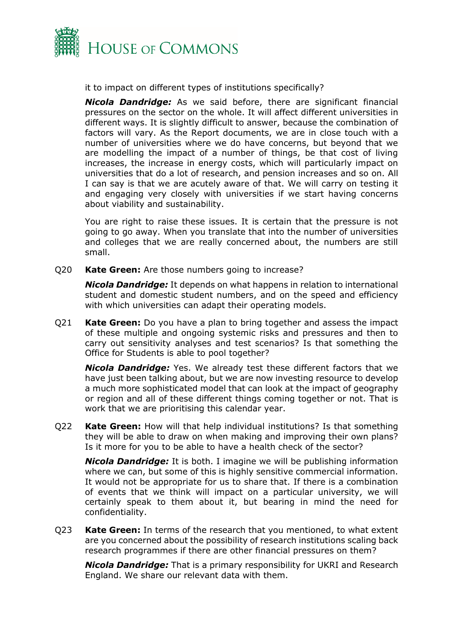

it to impact on different types of institutions specifically?

*Nicola Dandridge:* As we said before, there are significant financial pressures on the sector on the whole. It will affect different universities in different ways. It is slightly difficult to answer, because the combination of factors will vary. As the Report documents, we are in close touch with a number of universities where we do have concerns, but beyond that we are modelling the impact of a number of things, be that cost of living increases, the increase in energy costs, which will particularly impact on universities that do a lot of research, and pension increases and so on. All I can say is that we are acutely aware of that. We will carry on testing it and engaging very closely with universities if we start having concerns about viability and sustainability.

You are right to raise these issues. It is certain that the pressure is not going to go away. When you translate that into the number of universities and colleges that we are really concerned about, the numbers are still small.

Q20 **Kate Green:** Are those numbers going to increase?

*Nicola Dandridge:* It depends on what happens in relation to international student and domestic student numbers, and on the speed and efficiency with which universities can adapt their operating models.

Q21 **Kate Green:** Do you have a plan to bring together and assess the impact of these multiple and ongoing systemic risks and pressures and then to carry out sensitivity analyses and test scenarios? Is that something the Office for Students is able to pool together?

*Nicola Dandridge:* Yes. We already test these different factors that we have just been talking about, but we are now investing resource to develop a much more sophisticated model that can look at the impact of geography or region and all of these different things coming together or not. That is work that we are prioritising this calendar year.

Q22 **Kate Green:** How will that help individual institutions? Is that something they will be able to draw on when making and improving their own plans? Is it more for you to be able to have a health check of the sector?

*Nicola Dandridge:* It is both. I imagine we will be publishing information where we can, but some of this is highly sensitive commercial information. It would not be appropriate for us to share that. If there is a combination of events that we think will impact on a particular university, we will certainly speak to them about it, but bearing in mind the need for confidentiality.

Q23 **Kate Green:** In terms of the research that you mentioned, to what extent are you concerned about the possibility of research institutions scaling back research programmes if there are other financial pressures on them?

*Nicola Dandridge:* That is a primary responsibility for UKRI and Research England. We share our relevant data with them.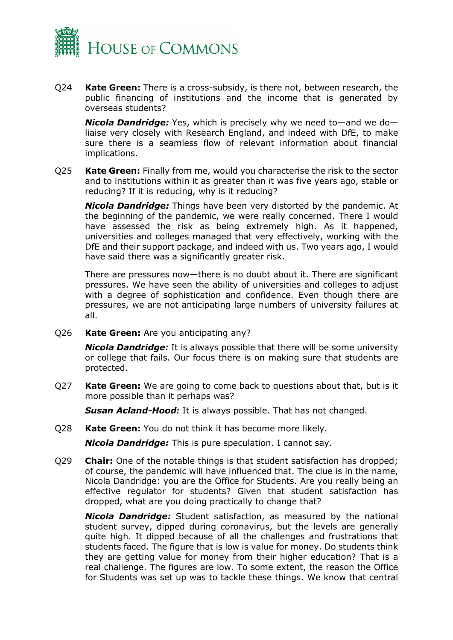

Q24 **Kate Green:** There is a cross-subsidy, is there not, between research, the public financing of institutions and the income that is generated by overseas students?

*Nicola Dandridge:* Yes, which is precisely why we need to—and we do liaise very closely with Research England, and indeed with DfE, to make sure there is a seamless flow of relevant information about financial implications.

Q25 **Kate Green:** Finally from me, would you characterise the risk to the sector and to institutions within it as greater than it was five years ago, stable or reducing? If it is reducing, why is it reducing?

*Nicola Dandridge:* Things have been very distorted by the pandemic. At the beginning of the pandemic, we were really concerned. There I would have assessed the risk as being extremely high. As it happened, universities and colleges managed that very effectively, working with the DfE and their support package, and indeed with us. Two years ago, I would have said there was a significantly greater risk.

There are pressures now—there is no doubt about it. There are significant pressures. We have seen the ability of universities and colleges to adjust with a degree of sophistication and confidence. Even though there are pressures, we are not anticipating large numbers of university failures at all.

Q26 **Kate Green:** Are you anticipating any?

*Nicola Dandridge:* It is always possible that there will be some university or college that fails. Our focus there is on making sure that students are protected.

Q27 **Kate Green:** We are going to come back to questions about that, but is it more possible than it perhaps was?

*Susan Acland-Hood:* It is always possible. That has not changed.

Q28 **Kate Green:** You do not think it has become more likely.

*Nicola Dandridge:* This is pure speculation. I cannot say.

Q29 **Chair:** One of the notable things is that student satisfaction has dropped; of course, the pandemic will have influenced that. The clue is in the name, Nicola Dandridge: you are the Office for Students. Are you really being an effective regulator for students? Given that student satisfaction has dropped, what are you doing practically to change that?

*Nicola Dandridge:* Student satisfaction, as measured by the national student survey, dipped during coronavirus, but the levels are generally quite high. It dipped because of all the challenges and frustrations that students faced. The figure that is low is value for money. Do students think they are getting value for money from their higher education? That is a real challenge. The figures are low. To some extent, the reason the Office for Students was set up was to tackle these things. We know that central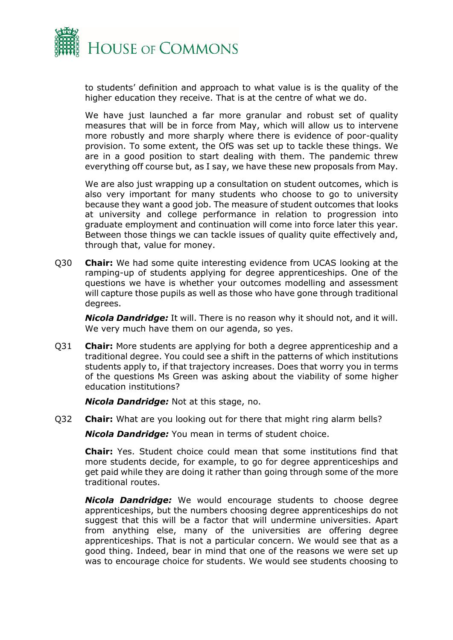

to students' definition and approach to what value is is the quality of the higher education they receive. That is at the centre of what we do.

We have just launched a far more granular and robust set of quality measures that will be in force from May, which will allow us to intervene more robustly and more sharply where there is evidence of poor-quality provision. To some extent, the OfS was set up to tackle these things. We are in a good position to start dealing with them. The pandemic threw everything off course but, as I say, we have these new proposals from May.

We are also just wrapping up a consultation on student outcomes, which is also very important for many students who choose to go to university because they want a good job. The measure of student outcomes that looks at university and college performance in relation to progression into graduate employment and continuation will come into force later this year. Between those things we can tackle issues of quality quite effectively and, through that, value for money.

Q30 **Chair:** We had some quite interesting evidence from UCAS looking at the ramping-up of students applying for degree apprenticeships. One of the questions we have is whether your outcomes modelling and assessment will capture those pupils as well as those who have gone through traditional degrees.

*Nicola Dandridge:* It will. There is no reason why it should not, and it will. We very much have them on our agenda, so yes.

Q31 **Chair:** More students are applying for both a degree apprenticeship and a traditional degree. You could see a shift in the patterns of which institutions students apply to, if that trajectory increases. Does that worry you in terms of the questions Ms Green was asking about the viability of some higher education institutions?

*Nicola Dandridge:* Not at this stage, no.

Q32 **Chair:** What are you looking out for there that might ring alarm bells?

*Nicola Dandridge:* You mean in terms of student choice.

**Chair:** Yes. Student choice could mean that some institutions find that more students decide, for example, to go for degree apprenticeships and get paid while they are doing it rather than going through some of the more traditional routes.

*Nicola Dandridge:* We would encourage students to choose degree apprenticeships, but the numbers choosing degree apprenticeships do not suggest that this will be a factor that will undermine universities. Apart from anything else, many of the universities are offering degree apprenticeships. That is not a particular concern. We would see that as a good thing. Indeed, bear in mind that one of the reasons we were set up was to encourage choice for students. We would see students choosing to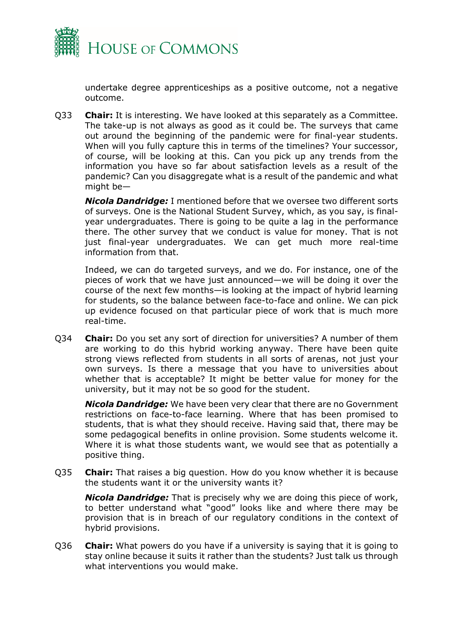

undertake degree apprenticeships as a positive outcome, not a negative outcome.

Q33 **Chair:** It is interesting. We have looked at this separately as a Committee. The take-up is not always as good as it could be. The surveys that came out around the beginning of the pandemic were for final-year students. When will you fully capture this in terms of the timelines? Your successor, of course, will be looking at this. Can you pick up any trends from the information you have so far about satisfaction levels as a result of the pandemic? Can you disaggregate what is a result of the pandemic and what might be—

*Nicola Dandridge:* I mentioned before that we oversee two different sorts of surveys. One is the National Student Survey, which, as you say, is finalyear undergraduates. There is going to be quite a lag in the performance there. The other survey that we conduct is value for money. That is not just final-year undergraduates. We can get much more real-time information from that.

Indeed, we can do targeted surveys, and we do. For instance, one of the pieces of work that we have just announced—we will be doing it over the course of the next few months—is looking at the impact of hybrid learning for students, so the balance between face-to-face and online. We can pick up evidence focused on that particular piece of work that is much more real-time.

Q34 **Chair:** Do you set any sort of direction for universities? A number of them are working to do this hybrid working anyway. There have been quite strong views reflected from students in all sorts of arenas, not just your own surveys. Is there a message that you have to universities about whether that is acceptable? It might be better value for money for the university, but it may not be so good for the student.

*Nicola Dandridge:* We have been very clear that there are no Government restrictions on face-to-face learning. Where that has been promised to students, that is what they should receive. Having said that, there may be some pedagogical benefits in online provision. Some students welcome it. Where it is what those students want, we would see that as potentially a positive thing.

Q35 **Chair:** That raises a big question. How do you know whether it is because the students want it or the university wants it?

*Nicola Dandridge:* That is precisely why we are doing this piece of work, to better understand what "good" looks like and where there may be provision that is in breach of our regulatory conditions in the context of hybrid provisions.

Q36 **Chair:** What powers do you have if a university is saying that it is going to stay online because it suits it rather than the students? Just talk us through what interventions you would make.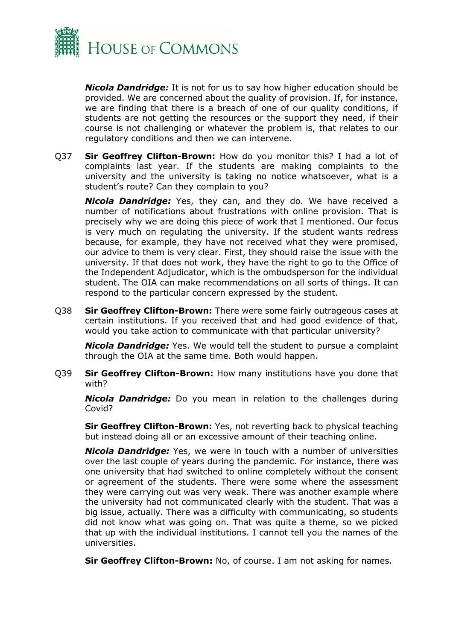

*Nicola Dandridge:* It is not for us to say how higher education should be provided. We are concerned about the quality of provision. If, for instance, we are finding that there is a breach of one of our quality conditions, if students are not getting the resources or the support they need, if their course is not challenging or whatever the problem is, that relates to our regulatory conditions and then we can intervene.

Q37 **Sir Geoffrey Clifton-Brown:** How do you monitor this? I had a lot of complaints last year. If the students are making complaints to the university and the university is taking no notice whatsoever, what is a student's route? Can they complain to you?

*Nicola Dandridge:* Yes, they can, and they do. We have received a number of notifications about frustrations with online provision. That is precisely why we are doing this piece of work that I mentioned. Our focus is very much on regulating the university. If the student wants redress because, for example, they have not received what they were promised, our advice to them is very clear. First, they should raise the issue with the university. If that does not work, they have the right to go to the Office of the Independent Adjudicator, which is the ombudsperson for the individual student. The OIA can make recommendations on all sorts of things. It can respond to the particular concern expressed by the student.

Q38 **Sir Geoffrey Clifton-Brown:** There were some fairly outrageous cases at certain institutions. If you received that and had good evidence of that, would you take action to communicate with that particular university?

*Nicola Dandridge:* Yes. We would tell the student to pursue a complaint through the OIA at the same time. Both would happen.

Q39 **Sir Geoffrey Clifton-Brown:** How many institutions have you done that with?

*Nicola Dandridge:* Do you mean in relation to the challenges during Covid?

**Sir Geoffrey Clifton-Brown:** Yes, not reverting back to physical teaching but instead doing all or an excessive amount of their teaching online.

*Nicola Dandridge:* Yes, we were in touch with a number of universities over the last couple of years during the pandemic. For instance, there was one university that had switched to online completely without the consent or agreement of the students. There were some where the assessment they were carrying out was very weak. There was another example where the university had not communicated clearly with the student. That was a big issue, actually. There was a difficulty with communicating, so students did not know what was going on. That was quite a theme, so we picked that up with the individual institutions. I cannot tell you the names of the universities.

**Sir Geoffrey Clifton-Brown:** No, of course. I am not asking for names.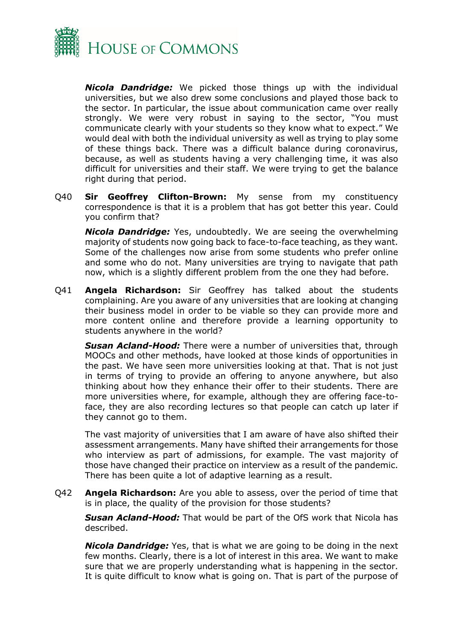

*Nicola Dandridge:* We picked those things up with the individual universities, but we also drew some conclusions and played those back to the sector. In particular, the issue about communication came over really strongly. We were very robust in saying to the sector, "You must communicate clearly with your students so they know what to expect." We would deal with both the individual university as well as trying to play some of these things back. There was a difficult balance during coronavirus, because, as well as students having a very challenging time, it was also difficult for universities and their staff. We were trying to get the balance right during that period.

Q40 **Sir Geoffrey Clifton-Brown:** My sense from my constituency correspondence is that it is a problem that has got better this year. Could you confirm that?

*Nicola Dandridge:* Yes, undoubtedly. We are seeing the overwhelming majority of students now going back to face-to-face teaching, as they want. Some of the challenges now arise from some students who prefer online and some who do not. Many universities are trying to navigate that path now, which is a slightly different problem from the one they had before.

Q41 **Angela Richardson:** Sir Geoffrey has talked about the students complaining. Are you aware of any universities that are looking at changing their business model in order to be viable so they can provide more and more content online and therefore provide a learning opportunity to students anywhere in the world?

*Susan Acland-Hood:* There were a number of universities that, through MOOCs and other methods, have looked at those kinds of opportunities in the past. We have seen more universities looking at that. That is not just in terms of trying to provide an offering to anyone anywhere, but also thinking about how they enhance their offer to their students. There are more universities where, for example, although they are offering face-toface, they are also recording lectures so that people can catch up later if they cannot go to them.

The vast majority of universities that I am aware of have also shifted their assessment arrangements. Many have shifted their arrangements for those who interview as part of admissions, for example. The vast majority of those have changed their practice on interview as a result of the pandemic. There has been quite a lot of adaptive learning as a result.

Q42 **Angela Richardson:** Are you able to assess, over the period of time that is in place, the quality of the provision for those students?

*Susan Acland-Hood:* That would be part of the OfS work that Nicola has described.

*Nicola Dandridge:* Yes, that is what we are going to be doing in the next few months. Clearly, there is a lot of interest in this area. We want to make sure that we are properly understanding what is happening in the sector. It is quite difficult to know what is going on. That is part of the purpose of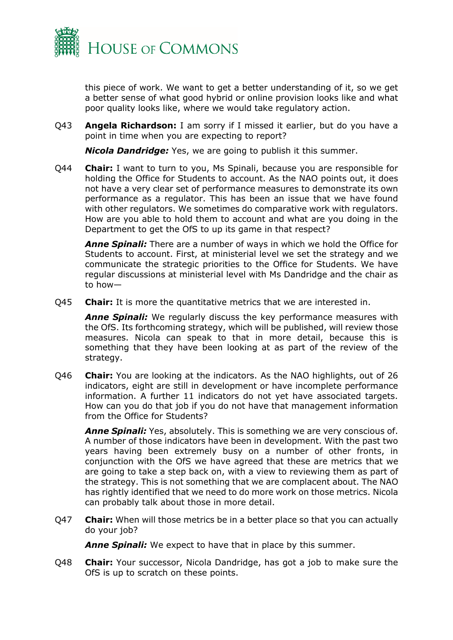

this piece of work. We want to get a better understanding of it, so we get a better sense of what good hybrid or online provision looks like and what poor quality looks like, where we would take regulatory action.

Q43 **Angela Richardson:** I am sorry if I missed it earlier, but do you have a point in time when you are expecting to report?

*Nicola Dandridge:* Yes, we are going to publish it this summer.

Q44 **Chair:** I want to turn to you, Ms Spinali, because you are responsible for holding the Office for Students to account. As the NAO points out, it does not have a very clear set of performance measures to demonstrate its own performance as a regulator. This has been an issue that we have found with other regulators. We sometimes do comparative work with regulators. How are you able to hold them to account and what are you doing in the Department to get the OfS to up its game in that respect?

*Anne Spinali:* There are a number of ways in which we hold the Office for Students to account. First, at ministerial level we set the strategy and we communicate the strategic priorities to the Office for Students. We have regular discussions at ministerial level with Ms Dandridge and the chair as to how—

Q45 **Chair:** It is more the quantitative metrics that we are interested in.

*Anne Spinali:* We regularly discuss the key performance measures with the OfS. Its forthcoming strategy, which will be published, will review those measures. Nicola can speak to that in more detail, because this is something that they have been looking at as part of the review of the strategy.

Q46 **Chair:** You are looking at the indicators. As the NAO highlights, out of 26 indicators, eight are still in development or have incomplete performance information. A further 11 indicators do not yet have associated targets. How can you do that job if you do not have that management information from the Office for Students?

*Anne Spinali:* Yes, absolutely. This is something we are very conscious of. A number of those indicators have been in development. With the past two years having been extremely busy on a number of other fronts, in conjunction with the OfS we have agreed that these are metrics that we are going to take a step back on, with a view to reviewing them as part of the strategy. This is not something that we are complacent about. The NAO has rightly identified that we need to do more work on those metrics. Nicola can probably talk about those in more detail.

Q47 **Chair:** When will those metrics be in a better place so that you can actually do your job?

*Anne Spinali:* We expect to have that in place by this summer.

Q48 **Chair:** Your successor, Nicola Dandridge, has got a job to make sure the OfS is up to scratch on these points.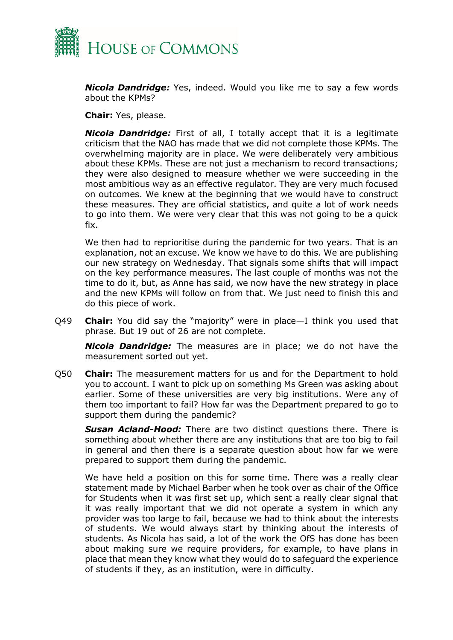

*Nicola Dandridge:* Yes, indeed. Would you like me to say a few words about the KPMs?

**Chair:** Yes, please.

*Nicola Dandridge:* First of all, I totally accept that it is a legitimate criticism that the NAO has made that we did not complete those KPMs. The overwhelming majority are in place. We were deliberately very ambitious about these KPMs. These are not just a mechanism to record transactions; they were also designed to measure whether we were succeeding in the most ambitious way as an effective regulator. They are very much focused on outcomes. We knew at the beginning that we would have to construct these measures. They are official statistics, and quite a lot of work needs to go into them. We were very clear that this was not going to be a quick fix.

We then had to reprioritise during the pandemic for two years. That is an explanation, not an excuse. We know we have to do this. We are publishing our new strategy on Wednesday. That signals some shifts that will impact on the key performance measures. The last couple of months was not the time to do it, but, as Anne has said, we now have the new strategy in place and the new KPMs will follow on from that. We just need to finish this and do this piece of work.

Q49 **Chair:** You did say the "majority" were in place—I think you used that phrase. But 19 out of 26 are not complete.

*Nicola Dandridge:* The measures are in place; we do not have the measurement sorted out yet.

Q50 **Chair:** The measurement matters for us and for the Department to hold you to account. I want to pick up on something Ms Green was asking about earlier. Some of these universities are very big institutions. Were any of them too important to fail? How far was the Department prepared to go to support them during the pandemic?

*Susan Acland-Hood:* There are two distinct questions there. There is something about whether there are any institutions that are too big to fail in general and then there is a separate question about how far we were prepared to support them during the pandemic.

We have held a position on this for some time. There was a really clear statement made by Michael Barber when he took over as chair of the Office for Students when it was first set up, which sent a really clear signal that it was really important that we did not operate a system in which any provider was too large to fail, because we had to think about the interests of students. We would always start by thinking about the interests of students. As Nicola has said, a lot of the work the OfS has done has been about making sure we require providers, for example, to have plans in place that mean they know what they would do to safeguard the experience of students if they, as an institution, were in difficulty.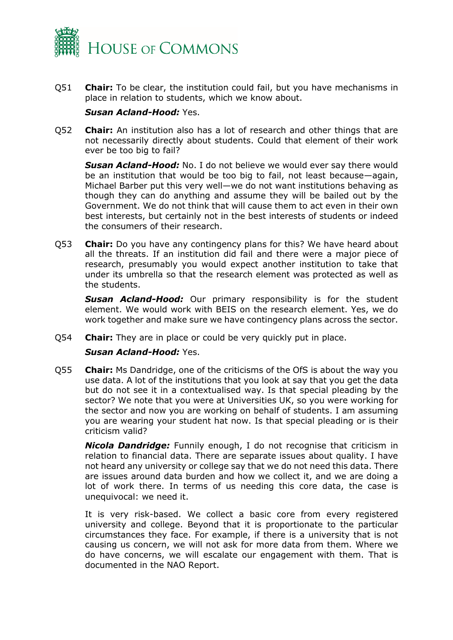

Q51 **Chair:** To be clear, the institution could fail, but you have mechanisms in place in relation to students, which we know about.

#### *Susan Acland-Hood:* Yes.

Q52 **Chair:** An institution also has a lot of research and other things that are not necessarily directly about students. Could that element of their work ever be too big to fail?

*Susan Acland-Hood:* No. I do not believe we would ever say there would be an institution that would be too big to fail, not least because—again, Michael Barber put this very well—we do not want institutions behaving as though they can do anything and assume they will be bailed out by the Government. We do not think that will cause them to act even in their own best interests, but certainly not in the best interests of students or indeed the consumers of their research.

Q53 **Chair:** Do you have any contingency plans for this? We have heard about all the threats. If an institution did fail and there were a major piece of research, presumably you would expect another institution to take that under its umbrella so that the research element was protected as well as the students.

*Susan Acland-Hood:* Our primary responsibility is for the student element. We would work with BEIS on the research element. Yes, we do work together and make sure we have contingency plans across the sector.

Q54 **Chair:** They are in place or could be very quickly put in place.

## *Susan Acland-Hood:* Yes.

Q55 **Chair:** Ms Dandridge, one of the criticisms of the OfS is about the way you use data. A lot of the institutions that you look at say that you get the data but do not see it in a contextualised way. Is that special pleading by the sector? We note that you were at Universities UK, so you were working for the sector and now you are working on behalf of students. I am assuming you are wearing your student hat now. Is that special pleading or is their criticism valid?

*Nicola Dandridge:* Funnily enough, I do not recognise that criticism in relation to financial data. There are separate issues about quality. I have not heard any university or college say that we do not need this data. There are issues around data burden and how we collect it, and we are doing a lot of work there. In terms of us needing this core data, the case is unequivocal: we need it.

It is very risk-based. We collect a basic core from every registered university and college. Beyond that it is proportionate to the particular circumstances they face. For example, if there is a university that is not causing us concern, we will not ask for more data from them. Where we do have concerns, we will escalate our engagement with them. That is documented in the NAO Report.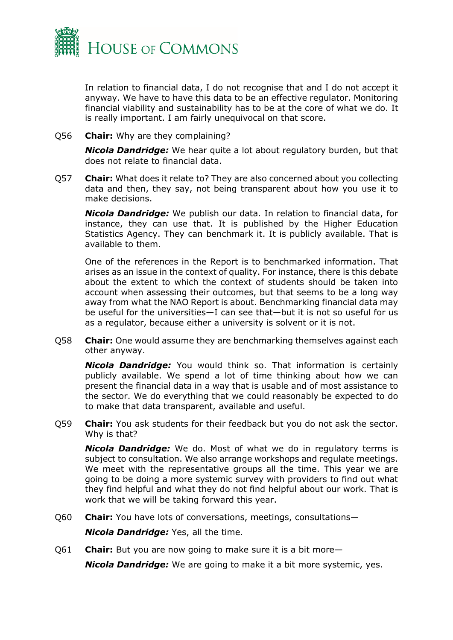

In relation to financial data, I do not recognise that and I do not accept it anyway. We have to have this data to be an effective regulator. Monitoring financial viability and sustainability has to be at the core of what we do. It is really important. I am fairly unequivocal on that score.

Q56 **Chair:** Why are they complaining?

*Nicola Dandridge:* We hear quite a lot about regulatory burden, but that does not relate to financial data.

Q57 **Chair:** What does it relate to? They are also concerned about you collecting data and then, they say, not being transparent about how you use it to make decisions.

*Nicola Dandridge:* We publish our data. In relation to financial data, for instance, they can use that. It is published by the Higher Education Statistics Agency. They can benchmark it. It is publicly available. That is available to them.

One of the references in the Report is to benchmarked information. That arises as an issue in the context of quality. For instance, there is this debate about the extent to which the context of students should be taken into account when assessing their outcomes, but that seems to be a long way away from what the NAO Report is about. Benchmarking financial data may be useful for the universities—I can see that—but it is not so useful for us as a regulator, because either a university is solvent or it is not.

Q58 **Chair:** One would assume they are benchmarking themselves against each other anyway.

*Nicola Dandridge:* You would think so. That information is certainly publicly available. We spend a lot of time thinking about how we can present the financial data in a way that is usable and of most assistance to the sector. We do everything that we could reasonably be expected to do to make that data transparent, available and useful.

Q59 **Chair:** You ask students for their feedback but you do not ask the sector. Why is that?

*Nicola Dandridge:* We do. Most of what we do in regulatory terms is subject to consultation. We also arrange workshops and regulate meetings. We meet with the representative groups all the time. This year we are going to be doing a more systemic survey with providers to find out what they find helpful and what they do not find helpful about our work. That is work that we will be taking forward this year.

Q60 **Chair:** You have lots of conversations, meetings, consultations—

*Nicola Dandridge:* Yes, all the time.

Q61 **Chair:** But you are now going to make sure it is a bit more—

*Nicola Dandridge:* We are going to make it a bit more systemic, yes.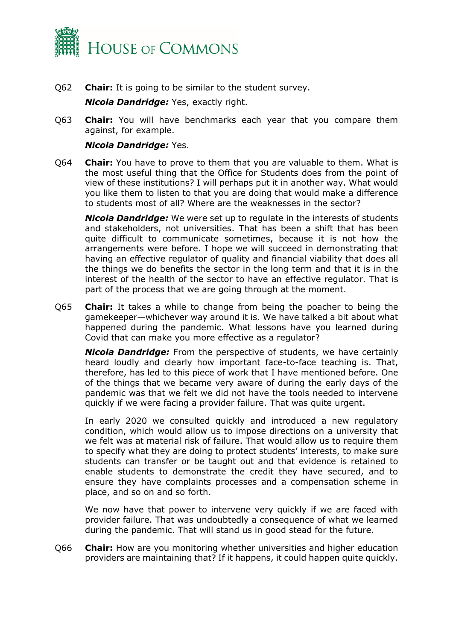

Q62 **Chair:** It is going to be similar to the student survey.

*Nicola Dandridge:* Yes, exactly right.

Q63 **Chair:** You will have benchmarks each year that you compare them against, for example.

## *Nicola Dandridge:* Yes.

Q64 **Chair:** You have to prove to them that you are valuable to them. What is the most useful thing that the Office for Students does from the point of view of these institutions? I will perhaps put it in another way. What would you like them to listen to that you are doing that would make a difference to students most of all? Where are the weaknesses in the sector?

*Nicola Dandridge:* We were set up to regulate in the interests of students and stakeholders, not universities. That has been a shift that has been quite difficult to communicate sometimes, because it is not how the arrangements were before. I hope we will succeed in demonstrating that having an effective regulator of quality and financial viability that does all the things we do benefits the sector in the long term and that it is in the interest of the health of the sector to have an effective regulator. That is part of the process that we are going through at the moment.

Q65 **Chair:** It takes a while to change from being the poacher to being the gamekeeper—whichever way around it is. We have talked a bit about what happened during the pandemic. What lessons have you learned during Covid that can make you more effective as a regulator?

*Nicola Dandridge:* From the perspective of students, we have certainly heard loudly and clearly how important face-to-face teaching is. That, therefore, has led to this piece of work that I have mentioned before. One of the things that we became very aware of during the early days of the pandemic was that we felt we did not have the tools needed to intervene quickly if we were facing a provider failure. That was quite urgent.

In early 2020 we consulted quickly and introduced a new regulatory condition, which would allow us to impose directions on a university that we felt was at material risk of failure. That would allow us to require them to specify what they are doing to protect students' interests, to make sure students can transfer or be taught out and that evidence is retained to enable students to demonstrate the credit they have secured, and to ensure they have complaints processes and a compensation scheme in place, and so on and so forth.

We now have that power to intervene very quickly if we are faced with provider failure. That was undoubtedly a consequence of what we learned during the pandemic. That will stand us in good stead for the future.

Q66 **Chair:** How are you monitoring whether universities and higher education providers are maintaining that? If it happens, it could happen quite quickly.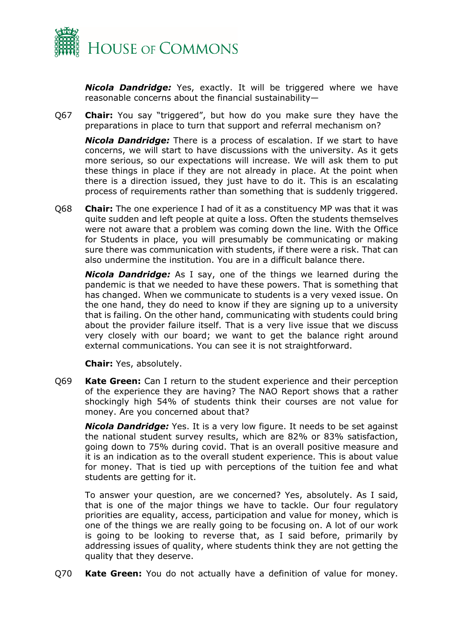

*Nicola Dandridge:* Yes, exactly. It will be triggered where we have reasonable concerns about the financial sustainability—

Q67 **Chair:** You say "triggered", but how do you make sure they have the preparations in place to turn that support and referral mechanism on?

*Nicola Dandridge:* There is a process of escalation. If we start to have concerns, we will start to have discussions with the university. As it gets more serious, so our expectations will increase. We will ask them to put these things in place if they are not already in place. At the point when there is a direction issued, they just have to do it. This is an escalating process of requirements rather than something that is suddenly triggered.

Q68 **Chair:** The one experience I had of it as a constituency MP was that it was quite sudden and left people at quite a loss. Often the students themselves were not aware that a problem was coming down the line. With the Office for Students in place, you will presumably be communicating or making sure there was communication with students, if there were a risk. That can also undermine the institution. You are in a difficult balance there.

*Nicola Dandridge:* As I say, one of the things we learned during the pandemic is that we needed to have these powers. That is something that has changed. When we communicate to students is a very vexed issue. On the one hand, they do need to know if they are signing up to a university that is failing. On the other hand, communicating with students could bring about the provider failure itself. That is a very live issue that we discuss very closely with our board; we want to get the balance right around external communications. You can see it is not straightforward.

**Chair:** Yes, absolutely.

Q69 **Kate Green:** Can I return to the student experience and their perception of the experience they are having? The NAO Report shows that a rather shockingly high 54% of students think their courses are not value for money. Are you concerned about that?

*Nicola Dandridge:* Yes. It is a very low figure. It needs to be set against the national student survey results, which are 82% or 83% satisfaction, going down to 75% during covid. That is an overall positive measure and it is an indication as to the overall student experience. This is about value for money. That is tied up with perceptions of the tuition fee and what students are getting for it.

To answer your question, are we concerned? Yes, absolutely. As I said, that is one of the major things we have to tackle. Our four regulatory priorities are equality, access, participation and value for money, which is one of the things we are really going to be focusing on. A lot of our work is going to be looking to reverse that, as I said before, primarily by addressing issues of quality, where students think they are not getting the quality that they deserve.

Q70 **Kate Green:** You do not actually have a definition of value for money.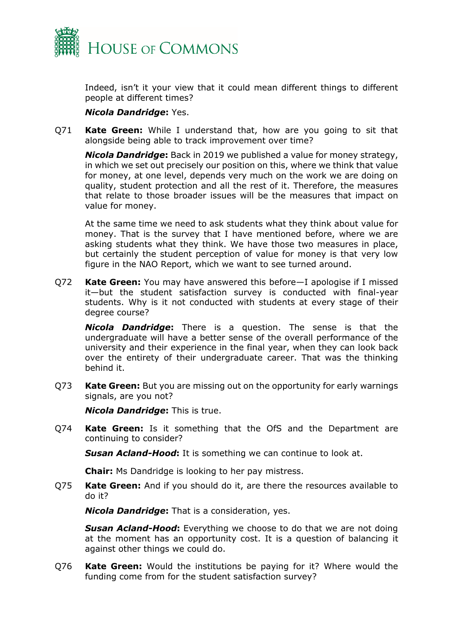

Indeed, isn't it your view that it could mean different things to different people at different times?

#### *Nicola Dandridge***:** Yes.

Q71 **Kate Green:** While I understand that, how are you going to sit that alongside being able to track improvement over time?

*Nicola Dandridge***:** Back in 2019 we published a value for money strategy, in which we set out precisely our position on this, where we think that value for money, at one level, depends very much on the work we are doing on quality, student protection and all the rest of it. Therefore, the measures that relate to those broader issues will be the measures that impact on value for money.

At the same time we need to ask students what they think about value for money. That is the survey that I have mentioned before, where we are asking students what they think. We have those two measures in place, but certainly the student perception of value for money is that very low figure in the NAO Report, which we want to see turned around.

Q72 **Kate Green:** You may have answered this before—I apologise if I missed it—but the student satisfaction survey is conducted with final-year students. Why is it not conducted with students at every stage of their degree course?

*Nicola Dandridge***:** There is a question. The sense is that the undergraduate will have a better sense of the overall performance of the university and their experience in the final year, when they can look back over the entirety of their undergraduate career. That was the thinking behind it.

Q73 **Kate Green:** But you are missing out on the opportunity for early warnings signals, are you not?

*Nicola Dandridge***:** This is true.

Q74 **Kate Green:** Is it something that the OfS and the Department are continuing to consider?

*Susan Acland-Hood***:** It is something we can continue to look at.

**Chair:** Ms Dandridge is looking to her pay mistress.

Q75 **Kate Green:** And if you should do it, are there the resources available to do it?

*Nicola Dandridge***:** That is a consideration, yes.

*Susan Acland-Hood***:** Everything we choose to do that we are not doing at the moment has an opportunity cost. It is a question of balancing it against other things we could do.

Q76 **Kate Green:** Would the institutions be paying for it? Where would the funding come from for the student satisfaction survey?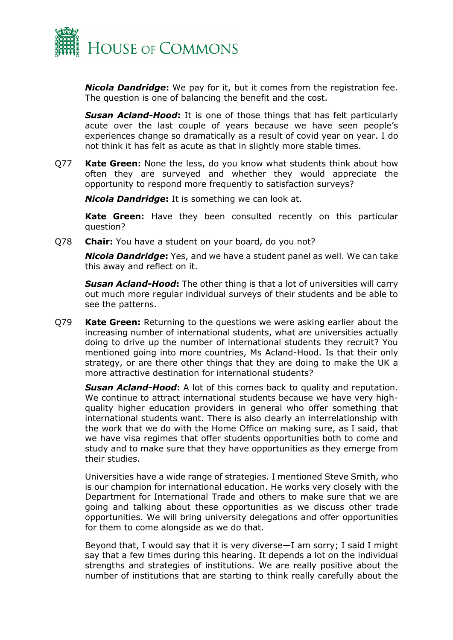

*Nicola Dandridge***:** We pay for it, but it comes from the registration fee. The question is one of balancing the benefit and the cost.

*Susan Acland-Hood***:** It is one of those things that has felt particularly acute over the last couple of years because we have seen people's experiences change so dramatically as a result of covid year on year. I do not think it has felt as acute as that in slightly more stable times.

Q77 **Kate Green:** None the less, do you know what students think about how often they are surveyed and whether they would appreciate the opportunity to respond more frequently to satisfaction surveys?

*Nicola Dandridge***:** It is something we can look at.

**Kate Green:** Have they been consulted recently on this particular question?

Q78 **Chair:** You have a student on your board, do you not?

*Nicola Dandridge***:** Yes, and we have a student panel as well. We can take this away and reflect on it.

*Susan Acland-Hood***:** The other thing is that a lot of universities will carry out much more regular individual surveys of their students and be able to see the patterns.

Q79 **Kate Green:** Returning to the questions we were asking earlier about the increasing number of international students, what are universities actually doing to drive up the number of international students they recruit? You mentioned going into more countries, Ms Acland-Hood. Is that their only strategy, or are there other things that they are doing to make the UK a more attractive destination for international students?

*Susan Acland-Hood***:** A lot of this comes back to quality and reputation. We continue to attract international students because we have very highquality higher education providers in general who offer something that international students want. There is also clearly an interrelationship with the work that we do with the Home Office on making sure, as I said, that we have visa regimes that offer students opportunities both to come and study and to make sure that they have opportunities as they emerge from their studies.

Universities have a wide range of strategies. I mentioned Steve Smith, who is our champion for international education. He works very closely with the Department for International Trade and others to make sure that we are going and talking about these opportunities as we discuss other trade opportunities. We will bring university delegations and offer opportunities for them to come alongside as we do that.

Beyond that, I would say that it is very diverse—I am sorry; I said I might say that a few times during this hearing. It depends a lot on the individual strengths and strategies of institutions. We are really positive about the number of institutions that are starting to think really carefully about the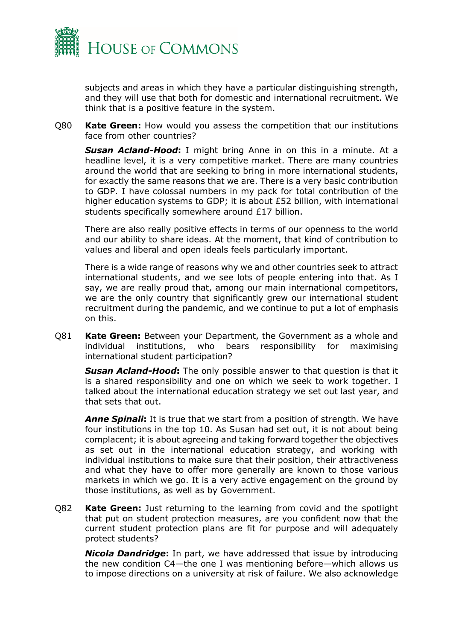

subjects and areas in which they have a particular distinguishing strength, and they will use that both for domestic and international recruitment. We think that is a positive feature in the system.

Q80 **Kate Green:** How would you assess the competition that our institutions face from other countries?

*Susan Acland-Hood***:** I might bring Anne in on this in a minute. At a headline level, it is a very competitive market. There are many countries around the world that are seeking to bring in more international students, for exactly the same reasons that we are. There is a very basic contribution to GDP. I have colossal numbers in my pack for total contribution of the higher education systems to GDP; it is about £52 billion, with international students specifically somewhere around £17 billion.

There are also really positive effects in terms of our openness to the world and our ability to share ideas. At the moment, that kind of contribution to values and liberal and open ideals feels particularly important.

There is a wide range of reasons why we and other countries seek to attract international students, and we see lots of people entering into that. As I say, we are really proud that, among our main international competitors, we are the only country that significantly grew our international student recruitment during the pandemic, and we continue to put a lot of emphasis on this.

Q81 **Kate Green:** Between your Department, the Government as a whole and individual institutions, who bears responsibility for maximising international student participation?

*Susan Acland-Hood***:** The only possible answer to that question is that it is a shared responsibility and one on which we seek to work together. I talked about the international education strategy we set out last year, and that sets that out.

*Anne Spinali***:** It is true that we start from a position of strength. We have four institutions in the top 10. As Susan had set out, it is not about being complacent; it is about agreeing and taking forward together the objectives as set out in the international education strategy, and working with individual institutions to make sure that their position, their attractiveness and what they have to offer more generally are known to those various markets in which we go. It is a very active engagement on the ground by those institutions, as well as by Government.

Q82 **Kate Green:** Just returning to the learning from covid and the spotlight that put on student protection measures, are you confident now that the current student protection plans are fit for purpose and will adequately protect students?

*Nicola Dandridge***:** In part, we have addressed that issue by introducing the new condition C4—the one I was mentioning before—which allows us to impose directions on a university at risk of failure. We also acknowledge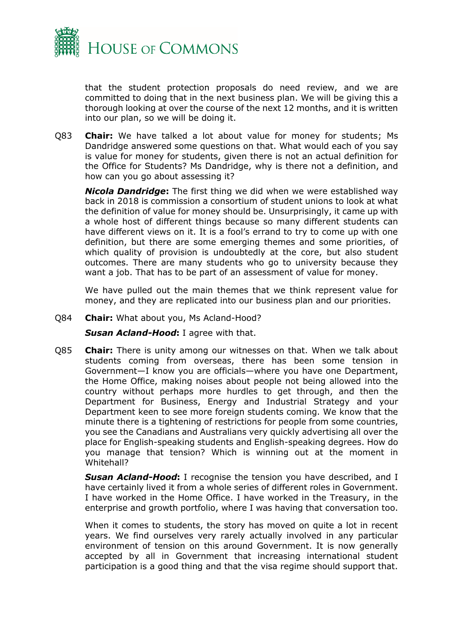

that the student protection proposals do need review, and we are committed to doing that in the next business plan. We will be giving this a thorough looking at over the course of the next 12 months, and it is written into our plan, so we will be doing it.

Q83 **Chair:** We have talked a lot about value for money for students; Ms Dandridge answered some questions on that. What would each of you say is value for money for students, given there is not an actual definition for the Office for Students? Ms Dandridge, why is there not a definition, and how can you go about assessing it?

*Nicola Dandridge***:** The first thing we did when we were established way back in 2018 is commission a consortium of student unions to look at what the definition of value for money should be. Unsurprisingly, it came up with a whole host of different things because so many different students can have different views on it. It is a fool's errand to try to come up with one definition, but there are some emerging themes and some priorities, of which quality of provision is undoubtedly at the core, but also student outcomes. There are many students who go to university because they want a job. That has to be part of an assessment of value for money.

We have pulled out the main themes that we think represent value for money, and they are replicated into our business plan and our priorities.

Q84 **Chair:** What about you, Ms Acland-Hood?

*Susan Acland-Hood***:** I agree with that.

Q85 **Chair:** There is unity among our witnesses on that. When we talk about students coming from overseas, there has been some tension in Government—I know you are officials—where you have one Department, the Home Office, making noises about people not being allowed into the country without perhaps more hurdles to get through, and then the Department for Business, Energy and Industrial Strategy and your Department keen to see more foreign students coming. We know that the minute there is a tightening of restrictions for people from some countries, you see the Canadians and Australians very quickly advertising all over the place for English-speaking students and English-speaking degrees. How do you manage that tension? Which is winning out at the moment in Whitehall?

**Susan Acland-Hood:** I recognise the tension you have described, and I have certainly lived it from a whole series of different roles in Government. I have worked in the Home Office. I have worked in the Treasury, in the enterprise and growth portfolio, where I was having that conversation too.

When it comes to students, the story has moved on quite a lot in recent years. We find ourselves very rarely actually involved in any particular environment of tension on this around Government. It is now generally accepted by all in Government that increasing international student participation is a good thing and that the visa regime should support that.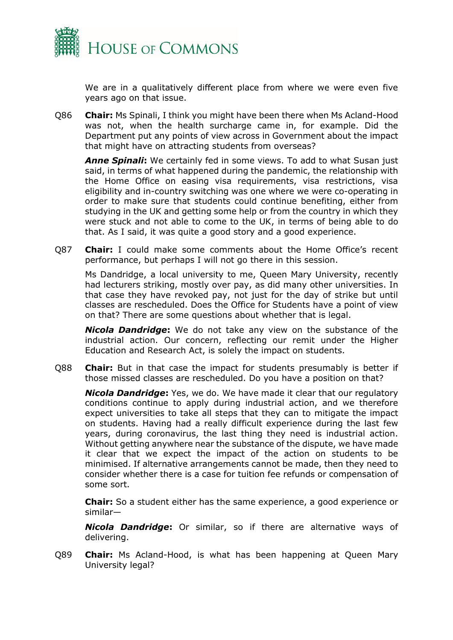

We are in a qualitatively different place from where we were even five years ago on that issue.

Q86 **Chair:** Ms Spinali, I think you might have been there when Ms Acland-Hood was not, when the health surcharge came in, for example. Did the Department put any points of view across in Government about the impact that might have on attracting students from overseas?

*Anne Spinali***:** We certainly fed in some views. To add to what Susan just said, in terms of what happened during the pandemic, the relationship with the Home Office on easing visa requirements, visa restrictions, visa eligibility and in-country switching was one where we were co-operating in order to make sure that students could continue benefiting, either from studying in the UK and getting some help or from the country in which they were stuck and not able to come to the UK, in terms of being able to do that. As I said, it was quite a good story and a good experience.

Q87 **Chair:** I could make some comments about the Home Office's recent performance, but perhaps I will not go there in this session.

Ms Dandridge, a local university to me, Queen Mary University, recently had lecturers striking, mostly over pay, as did many other universities. In that case they have revoked pay, not just for the day of strike but until classes are rescheduled. Does the Office for Students have a point of view on that? There are some questions about whether that is legal.

*Nicola Dandridge***:** We do not take any view on the substance of the industrial action. Our concern, reflecting our remit under the Higher Education and Research Act, is solely the impact on students.

Q88 **Chair:** But in that case the impact for students presumably is better if those missed classes are rescheduled. Do you have a position on that?

*Nicola Dandridge***:** Yes, we do. We have made it clear that our regulatory conditions continue to apply during industrial action, and we therefore expect universities to take all steps that they can to mitigate the impact on students. Having had a really difficult experience during the last few years, during coronavirus, the last thing they need is industrial action. Without getting anywhere near the substance of the dispute, we have made it clear that we expect the impact of the action on students to be minimised. If alternative arrangements cannot be made, then they need to consider whether there is a case for tuition fee refunds or compensation of some sort.

**Chair:** So a student either has the same experience, a good experience or similar—

*Nicola Dandridge***:** Or similar, so if there are alternative ways of delivering.

Q89 **Chair:** Ms Acland-Hood, is what has been happening at Queen Mary University legal?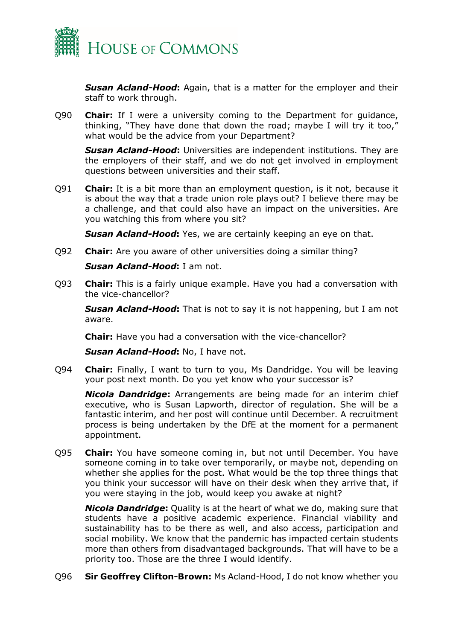

*Susan Acland-Hood***:** Again, that is a matter for the employer and their staff to work through.

Q90 **Chair:** If I were a university coming to the Department for guidance, thinking, "They have done that down the road; maybe I will try it too," what would be the advice from your Department?

**Susan Acland-Hood:** Universities are independent institutions. They are the employers of their staff, and we do not get involved in employment questions between universities and their staff.

Q91 **Chair:** It is a bit more than an employment question, is it not, because it is about the way that a trade union role plays out? I believe there may be a challenge, and that could also have an impact on the universities. Are you watching this from where you sit?

**Susan Acland-Hood:** Yes, we are certainly keeping an eye on that.

Q92 **Chair:** Are you aware of other universities doing a similar thing?

*Susan Acland-Hood***:** I am not.

Q93 **Chair:** This is a fairly unique example. Have you had a conversation with the vice-chancellor?

*Susan Acland-Hood***:** That is not to say it is not happening, but I am not aware.

**Chair:** Have you had a conversation with the vice-chancellor?

*Susan Acland-Hood***:** No, I have not.

Q94 **Chair:** Finally, I want to turn to you, Ms Dandridge. You will be leaving your post next month. Do you yet know who your successor is?

*Nicola Dandridge***:** Arrangements are being made for an interim chief executive, who is Susan Lapworth, director of regulation. She will be a fantastic interim, and her post will continue until December. A recruitment process is being undertaken by the DfE at the moment for a permanent appointment.

Q95 **Chair:** You have someone coming in, but not until December. You have someone coming in to take over temporarily, or maybe not, depending on whether she applies for the post. What would be the top three things that you think your successor will have on their desk when they arrive that, if you were staying in the job, would keep you awake at night?

*Nicola Dandridge***:** Quality is at the heart of what we do, making sure that students have a positive academic experience. Financial viability and sustainability has to be there as well, and also access, participation and social mobility. We know that the pandemic has impacted certain students more than others from disadvantaged backgrounds. That will have to be a priority too. Those are the three I would identify.

Q96 **Sir Geoffrey Clifton-Brown:** Ms Acland-Hood, I do not know whether you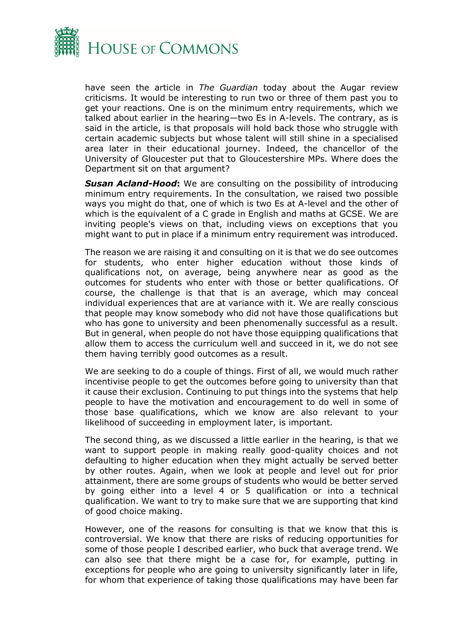

have seen the article in *The Guardian* today about the Augar review criticisms. It would be interesting to run two or three of them past you to get your reactions. One is on the minimum entry requirements, which we talked about earlier in the hearing—two Es in A-levels. The contrary, as is said in the article, is that proposals will hold back those who struggle with certain academic subjects but whose talent will still shine in a specialised area later in their educational journey. Indeed, the chancellor of the University of Gloucester put that to Gloucestershire MPs. Where does the Department sit on that argument?

*Susan Acland-Hood***:** We are consulting on the possibility of introducing minimum entry requirements. In the consultation, we raised two possible ways you might do that, one of which is two Es at A-level and the other of which is the equivalent of a C grade in English and maths at GCSE. We are inviting people's views on that, including views on exceptions that you might want to put in place if a minimum entry requirement was introduced.

The reason we are raising it and consulting on it is that we do see outcomes for students, who enter higher education without those kinds of qualifications not, on average, being anywhere near as good as the outcomes for students who enter with those or better qualifications. Of course, the challenge is that that is an average, which may conceal individual experiences that are at variance with it. We are really conscious that people may know somebody who did not have those qualifications but who has gone to university and been phenomenally successful as a result. But in general, when people do not have those equipping qualifications that allow them to access the curriculum well and succeed in it, we do not see them having terribly good outcomes as a result.

We are seeking to do a couple of things. First of all, we would much rather incentivise people to get the outcomes before going to university than that it cause their exclusion. Continuing to put things into the systems that help people to have the motivation and encouragement to do well in some of those base qualifications, which we know are also relevant to your likelihood of succeeding in employment later, is important.

The second thing, as we discussed a little earlier in the hearing, is that we want to support people in making really good-quality choices and not defaulting to higher education when they might actually be served better by other routes. Again, when we look at people and level out for prior attainment, there are some groups of students who would be better served by going either into a level 4 or 5 qualification or into a technical qualification. We want to try to make sure that we are supporting that kind of good choice making.

However, one of the reasons for consulting is that we know that this is controversial. We know that there are risks of reducing opportunities for some of those people I described earlier, who buck that average trend. We can also see that there might be a case for, for example, putting in exceptions for people who are going to university significantly later in life, for whom that experience of taking those qualifications may have been far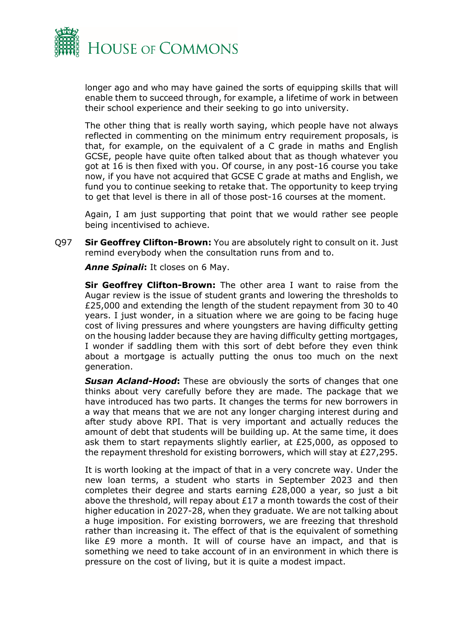

longer ago and who may have gained the sorts of equipping skills that will enable them to succeed through, for example, a lifetime of work in between their school experience and their seeking to go into university.

The other thing that is really worth saying, which people have not always reflected in commenting on the minimum entry requirement proposals, is that, for example, on the equivalent of a C grade in maths and English GCSE, people have quite often talked about that as though whatever you got at 16 is then fixed with you. Of course, in any post-16 course you take now, if you have not acquired that GCSE C grade at maths and English, we fund you to continue seeking to retake that. The opportunity to keep trying to get that level is there in all of those post-16 courses at the moment.

Again, I am just supporting that point that we would rather see people being incentivised to achieve.

Q97 **Sir Geoffrey Clifton-Brown:** You are absolutely right to consult on it. Just remind everybody when the consultation runs from and to.

*Anne Spinali***:** It closes on 6 May.

**Sir Geoffrey Clifton-Brown:** The other area I want to raise from the Augar review is the issue of student grants and lowering the thresholds to £25,000 and extending the length of the student repayment from 30 to 40 years. I just wonder, in a situation where we are going to be facing huge cost of living pressures and where youngsters are having difficulty getting on the housing ladder because they are having difficulty getting mortgages, I wonder if saddling them with this sort of debt before they even think about a mortgage is actually putting the onus too much on the next generation.

*Susan Acland-Hood***:** These are obviously the sorts of changes that one thinks about very carefully before they are made. The package that we have introduced has two parts. It changes the terms for new borrowers in a way that means that we are not any longer charging interest during and after study above RPI. That is very important and actually reduces the amount of debt that students will be building up. At the same time, it does ask them to start repayments slightly earlier, at £25,000, as opposed to the repayment threshold for existing borrowers, which will stay at £27,295.

It is worth looking at the impact of that in a very concrete way. Under the new loan terms, a student who starts in September 2023 and then completes their degree and starts earning £28,000 a year, so just a bit above the threshold, will repay about £17 a month towards the cost of their higher education in 2027-28, when they graduate. We are not talking about a huge imposition. For existing borrowers, we are freezing that threshold rather than increasing it. The effect of that is the equivalent of something like £9 more a month. It will of course have an impact, and that is something we need to take account of in an environment in which there is pressure on the cost of living, but it is quite a modest impact.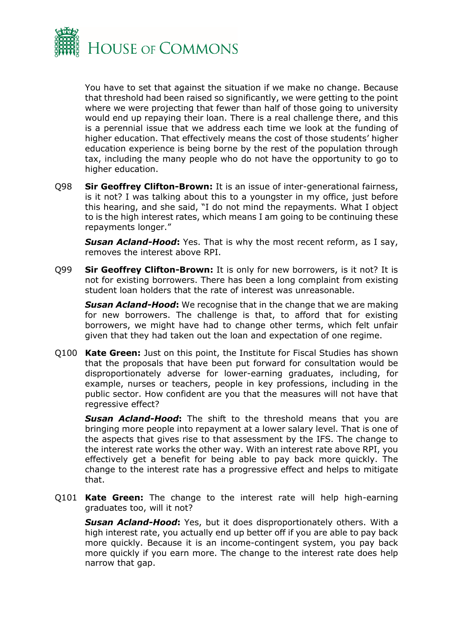

You have to set that against the situation if we make no change. Because that threshold had been raised so significantly, we were getting to the point where we were projecting that fewer than half of those going to university would end up repaying their loan. There is a real challenge there, and this is a perennial issue that we address each time we look at the funding of higher education. That effectively means the cost of those students' higher education experience is being borne by the rest of the population through tax, including the many people who do not have the opportunity to go to higher education.

Q98 **Sir Geoffrey Clifton-Brown:** It is an issue of inter-generational fairness, is it not? I was talking about this to a youngster in my office, just before this hearing, and she said, "I do not mind the repayments. What I object to is the high interest rates, which means I am going to be continuing these repayments longer."

*Susan Acland-Hood***:** Yes. That is why the most recent reform, as I say, removes the interest above RPI.

Q99 **Sir Geoffrey Clifton-Brown:** It is only for new borrowers, is it not? It is not for existing borrowers. There has been a long complaint from existing student loan holders that the rate of interest was unreasonable.

*Susan Acland-Hood***:** We recognise that in the change that we are making for new borrowers. The challenge is that, to afford that for existing borrowers, we might have had to change other terms, which felt unfair given that they had taken out the loan and expectation of one regime.

Q100 **Kate Green:** Just on this point, the Institute for Fiscal Studies has shown that the proposals that have been put forward for consultation would be disproportionately adverse for lower-earning graduates, including, for example, nurses or teachers, people in key professions, including in the public sector. How confident are you that the measures will not have that regressive effect?

**Susan Acland-Hood:** The shift to the threshold means that you are bringing more people into repayment at a lower salary level. That is one of the aspects that gives rise to that assessment by the IFS. The change to the interest rate works the other way. With an interest rate above RPI, you effectively get a benefit for being able to pay back more quickly. The change to the interest rate has a progressive effect and helps to mitigate that.

Q101 **Kate Green:** The change to the interest rate will help high-earning graduates too, will it not?

*Susan Acland-Hood***:** Yes, but it does disproportionately others. With a high interest rate, you actually end up better off if you are able to pay back more quickly. Because it is an income-contingent system, you pay back more quickly if you earn more. The change to the interest rate does help narrow that gap.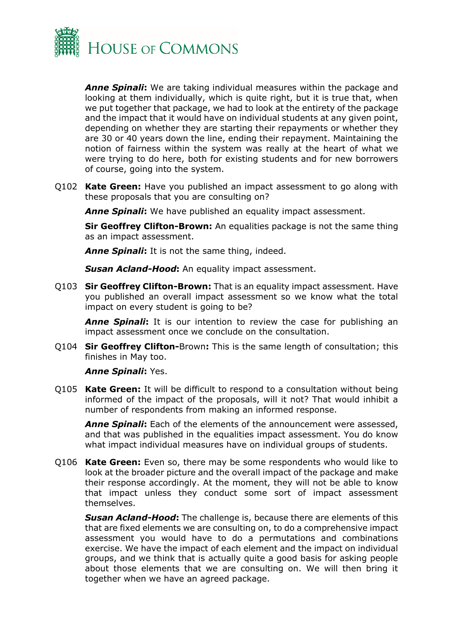

*Anne Spinali***:** We are taking individual measures within the package and looking at them individually, which is quite right, but it is true that, when we put together that package, we had to look at the entirety of the package and the impact that it would have on individual students at any given point, depending on whether they are starting their repayments or whether they are 30 or 40 years down the line, ending their repayment. Maintaining the notion of fairness within the system was really at the heart of what we were trying to do here, both for existing students and for new borrowers of course, going into the system.

Q102 **Kate Green:** Have you published an impact assessment to go along with these proposals that you are consulting on?

**Anne Spinali:** We have published an equality impact assessment.

**Sir Geoffrey Clifton-Brown:** An equalities package is not the same thing as an impact assessment.

*Anne Spinali***:** It is not the same thing, indeed.

*Susan Acland-Hood***:** An equality impact assessment.

Q103 **Sir Geoffrey Clifton-Brown:** That is an equality impact assessment. Have you published an overall impact assessment so we know what the total impact on every student is going to be?

*Anne Spinali***:** It is our intention to review the case for publishing an impact assessment once we conclude on the consultation.

Q104 **Sir Geoffrey Clifton-**Brown**:** This is the same length of consultation; this finishes in May too.

*Anne Spinali***:** Yes.

Q105 **Kate Green:** It will be difficult to respond to a consultation without being informed of the impact of the proposals, will it not? That would inhibit a number of respondents from making an informed response.

*Anne Spinali***:** Each of the elements of the announcement were assessed, and that was published in the equalities impact assessment. You do know what impact individual measures have on individual groups of students.

Q106 **Kate Green:** Even so, there may be some respondents who would like to look at the broader picture and the overall impact of the package and make their response accordingly. At the moment, they will not be able to know that impact unless they conduct some sort of impact assessment themselves.

*Susan Acland-Hood***:** The challenge is, because there are elements of this that are fixed elements we are consulting on, to do a comprehensive impact assessment you would have to do a permutations and combinations exercise. We have the impact of each element and the impact on individual groups, and we think that is actually quite a good basis for asking people about those elements that we are consulting on. We will then bring it together when we have an agreed package.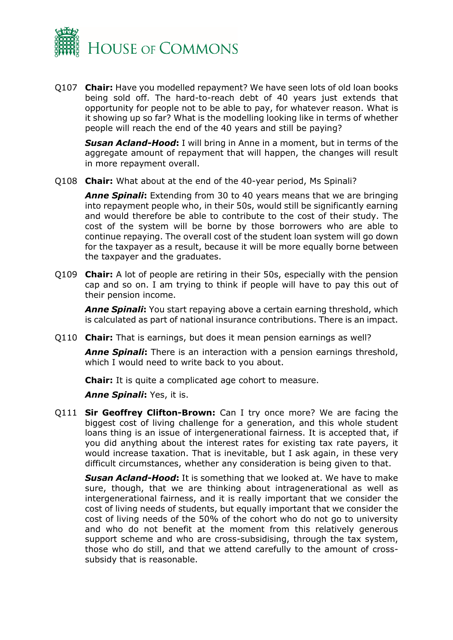

Q107 **Chair:** Have you modelled repayment? We have seen lots of old loan books being sold off. The hard-to-reach debt of 40 years just extends that opportunity for people not to be able to pay, for whatever reason. What is it showing up so far? What is the modelling looking like in terms of whether people will reach the end of the 40 years and still be paying?

**Susan Acland-Hood:** I will bring in Anne in a moment, but in terms of the aggregate amount of repayment that will happen, the changes will result in more repayment overall.

Q108 **Chair:** What about at the end of the 40-year period, Ms Spinali?

*Anne Spinali***:** Extending from 30 to 40 years means that we are bringing into repayment people who, in their 50s, would still be significantly earning and would therefore be able to contribute to the cost of their study. The cost of the system will be borne by those borrowers who are able to continue repaying. The overall cost of the student loan system will go down for the taxpayer as a result, because it will be more equally borne between the taxpayer and the graduates.

Q109 **Chair:** A lot of people are retiring in their 50s, especially with the pension cap and so on. I am trying to think if people will have to pay this out of their pension income.

*Anne Spinali***:** You start repaying above a certain earning threshold, which is calculated as part of national insurance contributions. There is an impact.

Q110 **Chair:** That is earnings, but does it mean pension earnings as well?

*Anne Spinali***:** There is an interaction with a pension earnings threshold, which I would need to write back to you about.

**Chair:** It is quite a complicated age cohort to measure.

*Anne Spinali***:** Yes, it is.

Q111 **Sir Geoffrey Clifton-Brown:** Can I try once more? We are facing the biggest cost of living challenge for a generation, and this whole student loans thing is an issue of intergenerational fairness. It is accepted that, if you did anything about the interest rates for existing tax rate payers, it would increase taxation. That is inevitable, but I ask again, in these very difficult circumstances, whether any consideration is being given to that.

*Susan Acland-Hood***:** It is something that we looked at. We have to make sure, though, that we are thinking about intragenerational as well as intergenerational fairness, and it is really important that we consider the cost of living needs of students, but equally important that we consider the cost of living needs of the 50% of the cohort who do not go to university and who do not benefit at the moment from this relatively generous support scheme and who are cross-subsidising, through the tax system, those who do still, and that we attend carefully to the amount of crosssubsidy that is reasonable.